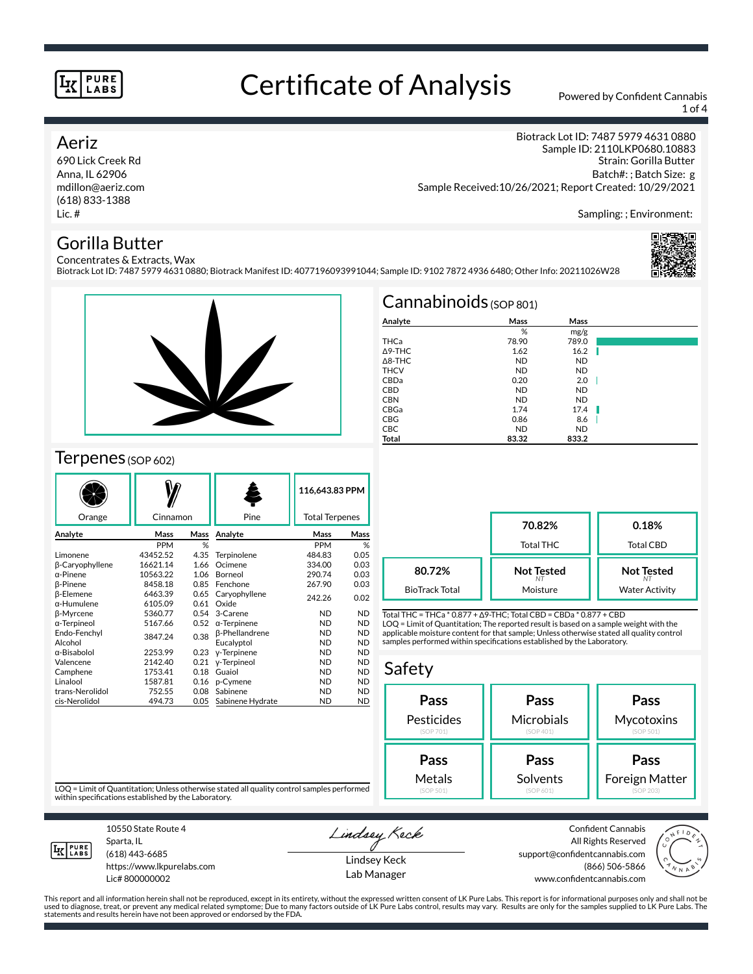# Certificate of Analysis Powered by Confident Cannabis

1 of 4

### Aeriz

690 Lick Creek Rd Anna, IL 62906 mdillon@aeriz.com (618) 833-1388 Lic. #

Biotrack Lot ID: 7487 5979 4631 0880 Sample ID: 2110LKP0680.10883 Strain: Gorilla Butter Batch#: ; Batch Size: g Sample Received:10/26/2021; Report Created: 10/29/2021

Sampling: ; Environment:

## Gorilla Butter

Concentrates & Extracts, Wax Biotrack Lot ID: 7487 5979 4631 0880; Biotrack Manifest ID: 4077196093991044; Sample ID: 9102 7872 4936 6480; Other Info: 20211026W28





## Terpenes (SOP 602)

|                    |            |      |                       | 116,643.83 PPM        |           |
|--------------------|------------|------|-----------------------|-----------------------|-----------|
| Orange             | Cinnamon   |      | Pine                  | <b>Total Terpenes</b> |           |
| Analyte            | Mass       | Mass | Analyte               | Mass                  | Mass      |
|                    | <b>PPM</b> | %    |                       | <b>PPM</b>            | %         |
| Limonene           | 43452.52   | 4.35 | Terpinolene           | 484.83                | 0.05      |
| β-Caryophyllene    | 16621.14   | 1.66 | Ocimene               | 334.00                | 0.03      |
| α-Pinene           | 10563.22   | 1.06 | Borneol               | 290.74                | 0.03      |
| <b>B-Pinene</b>    | 8458.18    | 0.85 | Fenchone              | 267.90                | 0.03      |
| <b>ß-Elemene</b>   | 6463.39    | 0.65 | Caryophyllene         | 242.26                | 0.02      |
| $\alpha$ -Humulene | 6105.09    | 0.61 | Oxide                 |                       |           |
| β-Myrcene          | 5360.77    | 0.54 | 3-Carene              | <b>ND</b>             | <b>ND</b> |
| α-Terpineol        | 5167.66    | 0.52 | $\alpha$ -Terpinene   | <b>ND</b>             | <b>ND</b> |
| Endo-Fenchyl       | 3847.24    | 0.38 | <b>B-Phellandrene</b> | <b>ND</b>             | <b>ND</b> |
| Alcohol            |            |      | Eucalyptol            | <b>ND</b>             | <b>ND</b> |
| α-Bisabolol        | 2253.99    | 0.23 | y-Terpinene           | <b>ND</b>             | <b>ND</b> |
| Valencene          | 2142.40    | 0.21 | y-Terpineol           | <b>ND</b>             | <b>ND</b> |
| Camphene           | 1753.41    | 0.18 | Guaiol                | <b>ND</b>             | <b>ND</b> |
| Linalool           | 1587.81    | 0.16 | p-Cymene              | <b>ND</b>             | <b>ND</b> |
| trans-Nerolidol    | 752.55     | 0.08 | Sabinene              | <b>ND</b>             | <b>ND</b> |
| cis-Nerolidol      | 494.73     | 0.05 | Sabinene Hydrate      | <b>ND</b>             | <b>ND</b> |

|                   | $Cannabinoids$ (SOP 801) |           |  |
|-------------------|--------------------------|-----------|--|
| Analyte           | Mass                     | Mass      |  |
|                   | %                        | mg/g      |  |
| THCa              | 78.90                    | 789.0     |  |
| $\triangle$ 9-THC | 1.62                     | 16.2      |  |
| $\triangle$ 8-THC | <b>ND</b>                | <b>ND</b> |  |
| <b>THCV</b>       | <b>ND</b>                | <b>ND</b> |  |
| CBDa              | 0.20                     | 2.0       |  |
| <b>CBD</b>        | <b>ND</b>                | <b>ND</b> |  |
| <b>CBN</b>        | <b>ND</b>                | <b>ND</b> |  |
| CBGa              | 1.74                     | 17.4      |  |
| <b>CBG</b>        | 0.86                     | 8.6       |  |
| <b>CBC</b>        | <b>ND</b>                | <b>ND</b> |  |
| Total             | 83.32                    | 833.2     |  |

**70.82%** Total THC **0.18%** Total CBD **Not Tested** *NT* Moisture **Not Tested** *NT* Water Activity **80.72%** BioTrack Total

Total THC = THCa \* 0.877 + ∆9-THC; Total CBD = CBDa \* 0.877 + CBD LOQ = Limit of Quantitation; The reported result is based on a sample weight with the applicable moisture content for that sample; Unless otherwise stated all quality control samples performed within specifications established by the Laboratory.

### Safety

| Pass       | Pass       | Pass           |  |
|------------|------------|----------------|--|
| Pesticides | Microbials | Mycotoxins     |  |
| (SOP 701)  | (SOP 401)  | (SOP 501)      |  |
| Pass       | Pass       | Pass           |  |
| Metals     | Solvents   | Foreign Matter |  |
| (SOP 501)  | (SOP 601)  | (SOP 203)      |  |

LOQ = Limit of Quantitation; Unless otherwise stated all quality control samples performed within specifications established by the Laboratory.



Sparta, IL (618) 443-6685

10550 State Route 4

https://www.lkpurelabs.com Lic# 800000002

Lindsey Keck

Lindsey Keck Lab Manager

Confident Cannabis All Rights Reserved support@confidentcannabis.com (866) 506-5866 www.confidentcannabis.com



This report and all information herein shall not be reproduced, except in its entirety, without the expressed written consent of LK Pure Labs. This report is for informational purposes only and shall not be<br>used to diagnos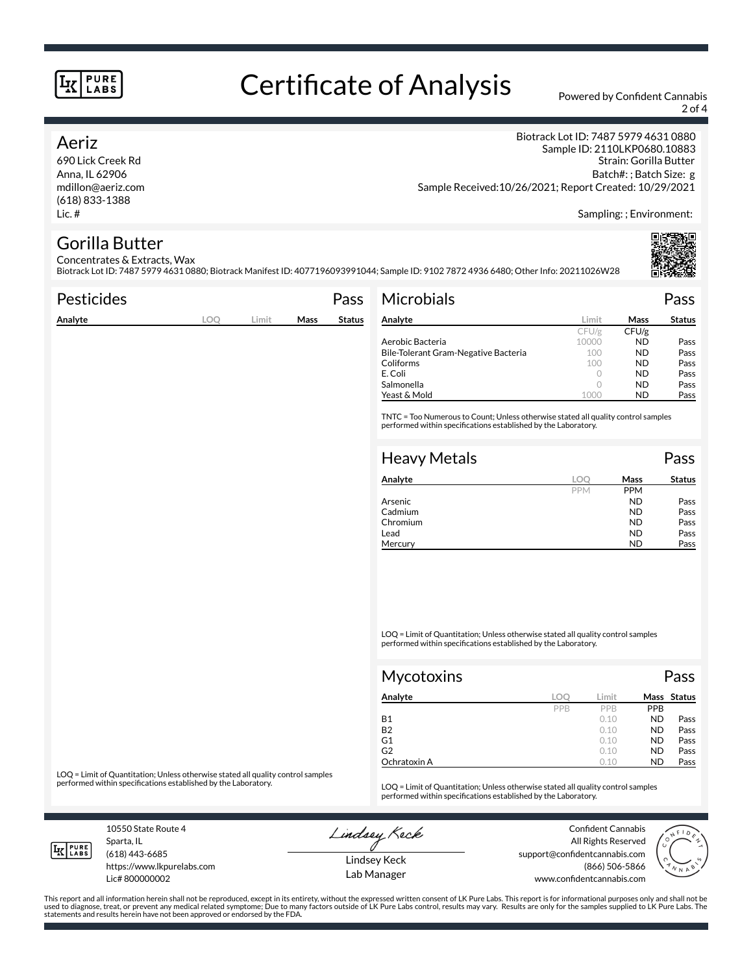# Certificate of Analysis Powered by Confident Cannabis

2 of 4

## Aeriz

690 Lick Creek Rd Anna, IL 62906 mdillon@aeriz.com (618) 833-1388 Lic. #

Biotrack Lot ID: 7487 5979 4631 0880 Sample ID: 2110LKP0680.10883 Strain: Gorilla Butter Batch#: ; Batch Size: g Sample Received:10/26/2021; Report Created: 10/29/2021

Sampling: ; Environment:

# Gorilla Butter

Concentrates & Extracts, Wax Biotrack Lot ID: 7487 5979 4631 0880; Biotrack Manifest ID: 4077196093991044; Sample ID: 9102 7872 4936 6480; Other Info: 20211026W28

| <b>Pesticides</b> |     |       |      | Pass          | <b>Microbials</b>                                                                                                                                   |            |            | Pass          |
|-------------------|-----|-------|------|---------------|-----------------------------------------------------------------------------------------------------------------------------------------------------|------------|------------|---------------|
| Analyte           | LOQ | Limit | Mass | <b>Status</b> | Analyte                                                                                                                                             | Limit      | Mass       | <b>Status</b> |
|                   |     |       |      |               |                                                                                                                                                     | CFU/g      | CFU/g      |               |
|                   |     |       |      |               | Aerobic Bacteria                                                                                                                                    | 10000      | ND.        | Pass          |
|                   |     |       |      |               | Bile-Tolerant Gram-Negative Bacteria                                                                                                                | 100        | <b>ND</b>  | Pass          |
|                   |     |       |      |               | Coliforms                                                                                                                                           | 100        | <b>ND</b>  | Pass          |
|                   |     |       |      |               | E. Coli                                                                                                                                             | $\circ$    | <b>ND</b>  | Pass          |
|                   |     |       |      |               | Salmonella                                                                                                                                          | $\circ$    | <b>ND</b>  | Pass          |
|                   |     |       |      |               | Yeast & Mold                                                                                                                                        | 1000       | <b>ND</b>  | Pass          |
|                   |     |       |      |               | TNTC = Too Numerous to Count; Unless otherwise stated all quality control samples<br>performed within specifications established by the Laboratory. |            |            |               |
|                   |     |       |      |               | <b>Heavy Metals</b>                                                                                                                                 |            |            | Pass          |
|                   |     |       |      |               | Analyte                                                                                                                                             | LOO        | Mass       | <b>Status</b> |
|                   |     |       |      |               |                                                                                                                                                     | <b>PPM</b> | <b>PPM</b> |               |
|                   |     |       |      |               | Arsenic                                                                                                                                             |            | <b>ND</b>  | Pass          |

LOQ = Limit of Quantitation; Unless otherwise stated all quality control samples performed within specifications established by the Laboratory.

| Mycotoxins   |     |       |            | Pass        |
|--------------|-----|-------|------------|-------------|
| Analyte      | LOC | Limit |            | Mass Status |
|              | PPB | PPB   | <b>PPB</b> |             |
| <b>B1</b>    |     | 0.10  | <b>ND</b>  | Pass        |
| <b>B2</b>    |     | 0.10  | <b>ND</b>  | Pass        |
| G1           |     | 0.10  | <b>ND</b>  | Pass        |
| G2           |     | 0.10  | <b>ND</b>  | Pass        |
| Ochratoxin A |     | 0.10  | <b>ND</b>  | Pass        |

Cadmium ND Pass<br>
Chromium ND Pass Chromium Pass Lead **ND** Pass Mercury **ND** Pass

LOQ = Limit of Quantitation; Unless otherwise stated all quality control samples<br>performed within specifications established by the Laboratory.

LOQ = Limit of Quantitation; Unless otherwise stated all quality control samples performed within specifications established by the Laboratory.

10550 State Route 4 Sparta, IL (618) 443-6685

**LK** LABS

Lic# 800000002

https://www.lkpurelabs.com

Lindsey Keck

Confident Cannabis All Rights Reserved support@confidentcannabis.com (866) 506-5866 www.confidentcannabis.com



Lindsey Keck Lab Manager

This report and all information herein shall not be reproduced, except in its entirety, without the expressed written consent of LK Pure Labs. This report is for informational purposes only and shall not be<br>used to diagnos statements and results herein have not been approved or endorsed by the FDA.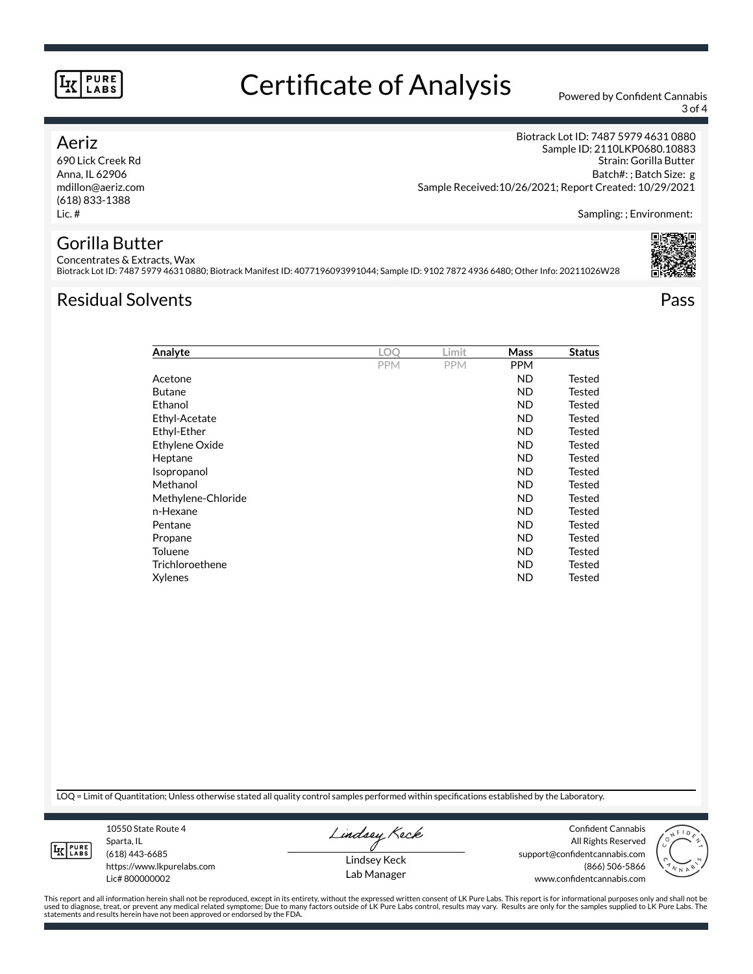# Certificate of Analysis Powered by Confident Cannabis

3 of 4

## Aeriz

690 Lick Creek Rd Anna, IL 62906 mdillon@aeriz.com (618) 833-1388 Lic. #

Biotrack Lot ID: 7487 5979 4631 0880 Sample ID: 2110LKP0680.10883 Strain: Gorilla Butter Batch#: ; Batch Size: g Sample Received:10/26/2021; Report Created: 10/29/2021

Sampling: ; Environment:

# Gorilla Butter

Concentrates & Extracts, Wax Biotrack Lot ID: 7487 5979 4631 0880; Biotrack Manifest ID: 4077196093991044; Sample ID: 9102 7872 4936 6480; Other Info: 20211026W28

## Residual Solvents Pass



| LOO        | Limit      | Mass       | <b>Status</b> |
|------------|------------|------------|---------------|
| <b>PPM</b> | <b>PPM</b> | <b>PPM</b> |               |
|            |            | <b>ND</b>  | Tested        |
|            |            | <b>ND</b>  | Tested        |
|            |            | <b>ND</b>  | Tested        |
|            |            | <b>ND</b>  | Tested        |
|            |            | <b>ND</b>  | Tested        |
|            |            | ND         | Tested        |
|            |            | ND         | Tested        |
|            |            | ND         | Tested        |
|            |            | ND         | Tested        |
|            |            | ND         | Tested        |
|            |            | ND         | Tested        |
|            |            | ND         | Tested        |
|            |            | ND         | Tested        |
|            |            | <b>ND</b>  | Tested        |
|            |            | <b>ND</b>  | Tested        |
|            |            | ND         | Tested        |
|            |            |            |               |

LOQ = Limit of Quantitation; Unless otherwise stated all quality control samples performed within specifications established by the Laboratory.



Sparta, IL (618) 443-6685 https://www.lkpurelabs.com

10550 State Route 4

Lic# 800000002

Lindsey Keck

Lindsey Keck Lab Manager

Confident Cannabis All Rights Reserved support@confidentcannabis.com (866) 506-5866 www.confidentcannabis.com



This report and all information herein shall not be reproduced, except in its entirety, without the expressed written consent of LK Pure Labs. This report is for informational purposes only and shall not be<br>used to diagnos